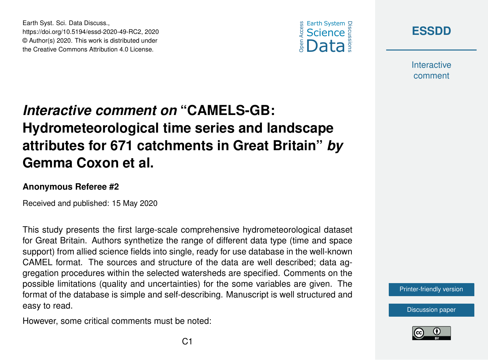



**Interactive** comment

## *Interactive comment on* **"CAMELS-GB: Hydrometeorological time series and landscape attributes for 671 catchments in Great Britain"** *by* **Gemma Coxon et al.**

## **Anonymous Referee #2**

Earth Syst. Sci. Data Discuss.,

https://doi.org/10.5194/essd-2020-49-RC2, 2020 © Author(s) 2020. This work is distributed under the Creative Commons Attribution 4.0 License.

Received and published: 15 May 2020

This study presents the first large-scale comprehensive hydrometeorological dataset for Great Britain. Authors synthetize the range of different data type (time and space support) from allied science fields into single, ready for use database in the well-known CAMEL format. The sources and structure of the data are well described; data aggregation procedures within the selected watersheds are specified. Comments on the possible limitations (quality and uncertainties) for the some variables are given. The format of the database is simple and self-describing. Manuscript is well structured and easy to read.

However, some critical comments must be noted:



[Discussion paper](https://www.earth-syst-sci-data-discuss.net/essd-2020-49)